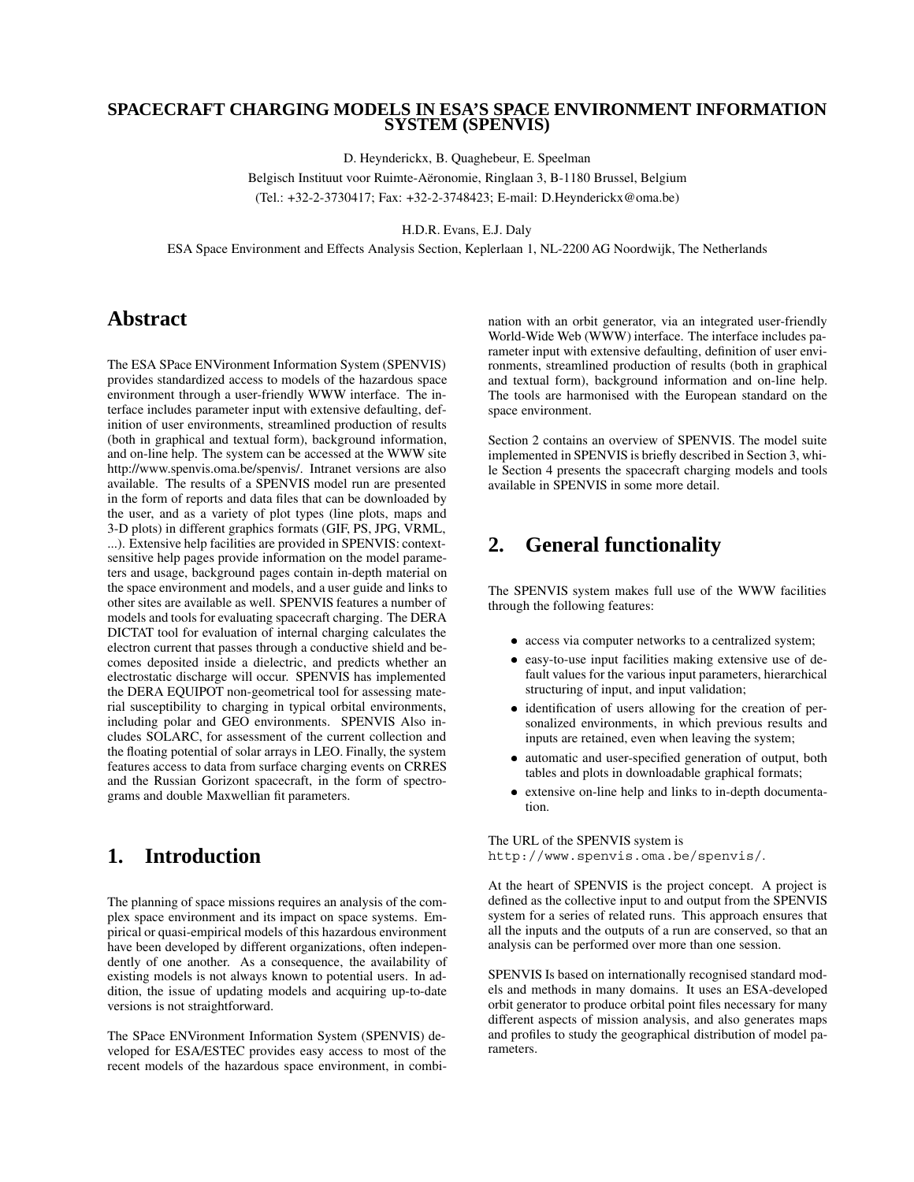#### **SPACECRAFT CHARGING MODELS IN ESA'S SPACE ENVIRONMENT INFORMATION SYSTEM (SPENVIS)**

D. Heynderickx, B. Quaghebeur, E. Speelman

Belgisch Instituut voor Ruimte-Aëronomie, Ringlaan 3, B-1180 Brussel, Belgium (Tel.: +32-2-3730417; Fax: +32-2-3748423; E-mail: D.Heynderickx@oma.be)

H.D.R. Evans, E.J. Daly

ESA Space Environment and Effects Analysis Section, Keplerlaan 1, NL-2200 AG Noordwijk, The Netherlands

# **Abstract**

The ESA SPace ENVironment Information System (SPENVIS) provides standardized access to models of the hazardous space environment through a user-friendly WWW interface. The interface includes parameter input with extensive defaulting, definition of user environments, streamlined production of results (both in graphical and textual form), background information, and on-line help. The system can be accessed at the WWW site http://www.spenvis.oma.be/spenvis/. Intranet versions are also available. The results of a SPENVIS model run are presented in the form of reports and data files that can be downloaded by the user, and as a variety of plot types (line plots, maps and 3-D plots) in different graphics formats (GIF, PS, JPG, VRML, ...). Extensive help facilities are provided in SPENVIS: contextsensitive help pages provide information on the model parameters and usage, background pages contain in-depth material on the space environment and models, and a user guide and links to other sites are available as well. SPENVIS features a number of models and tools for evaluating spacecraft charging. The DERA DICTAT tool for evaluation of internal charging calculates the electron current that passes through a conductive shield and becomes deposited inside a dielectric, and predicts whether an electrostatic discharge will occur. SPENVIS has implemented the DERA EQUIPOT non-geometrical tool for assessing material susceptibility to charging in typical orbital environments, including polar and GEO environments. SPENVIS Also includes SOLARC, for assessment of the current collection and the floating potential of solar arrays in LEO. Finally, the system features access to data from surface charging events on CRRES and the Russian Gorizont spacecraft, in the form of spectrograms and double Maxwellian fit parameters.

# **1. Introduction**

The planning of space missions requires an analysis of the complex space environment and its impact on space systems. Empirical or quasi-empirical models of this hazardous environment have been developed by different organizations, often independently of one another. As a consequence, the availability of existing models is not always known to potential users. In addition, the issue of updating models and acquiring up-to-date versions is not straightforward.

The SPace ENVironment Information System (SPENVIS) developed for ESA/ESTEC provides easy access to most of the recent models of the hazardous space environment, in combination with an orbit generator, via an integrated user-friendly World-Wide Web (WWW) interface. The interface includes parameter input with extensive defaulting, definition of user environments, streamlined production of results (both in graphical and textual form), background information and on-line help. The tools are harmonised with the European standard on the space environment.

Section 2 contains an overview of SPENVIS. The model suite implemented in SPENVIS is briefly described in Section 3, while Section 4 presents the spacecraft charging models and tools available in SPENVIS in some more detail.

# **2. General functionality**

The SPENVIS system makes full use of the WWW facilities through the following features:

- access via computer networks to a centralized system;
- easy-to-use input facilities making extensive use of default values for the various input parameters, hierarchical structuring of input, and input validation;
- identification of users allowing for the creation of personalized environments, in which previous results and inputs are retained, even when leaving the system;
- automatic and user-specified generation of output, both tables and plots in downloadable graphical formats;
- extensive on-line help and links to in-depth documentation.

The URL of the SPENVIS system is

http://www.spenvis.oma.be/spenvis/.

At the heart of SPENVIS is the project concept. A project is defined as the collective input to and output from the SPENVIS system for a series of related runs. This approach ensures that all the inputs and the outputs of a run are conserved, so that an analysis can be performed over more than one session.

SPENVIS Is based on internationally recognised standard models and methods in many domains. It uses an ESA-developed orbit generator to produce orbital point files necessary for many different aspects of mission analysis, and also generates maps and profiles to study the geographical distribution of model parameters.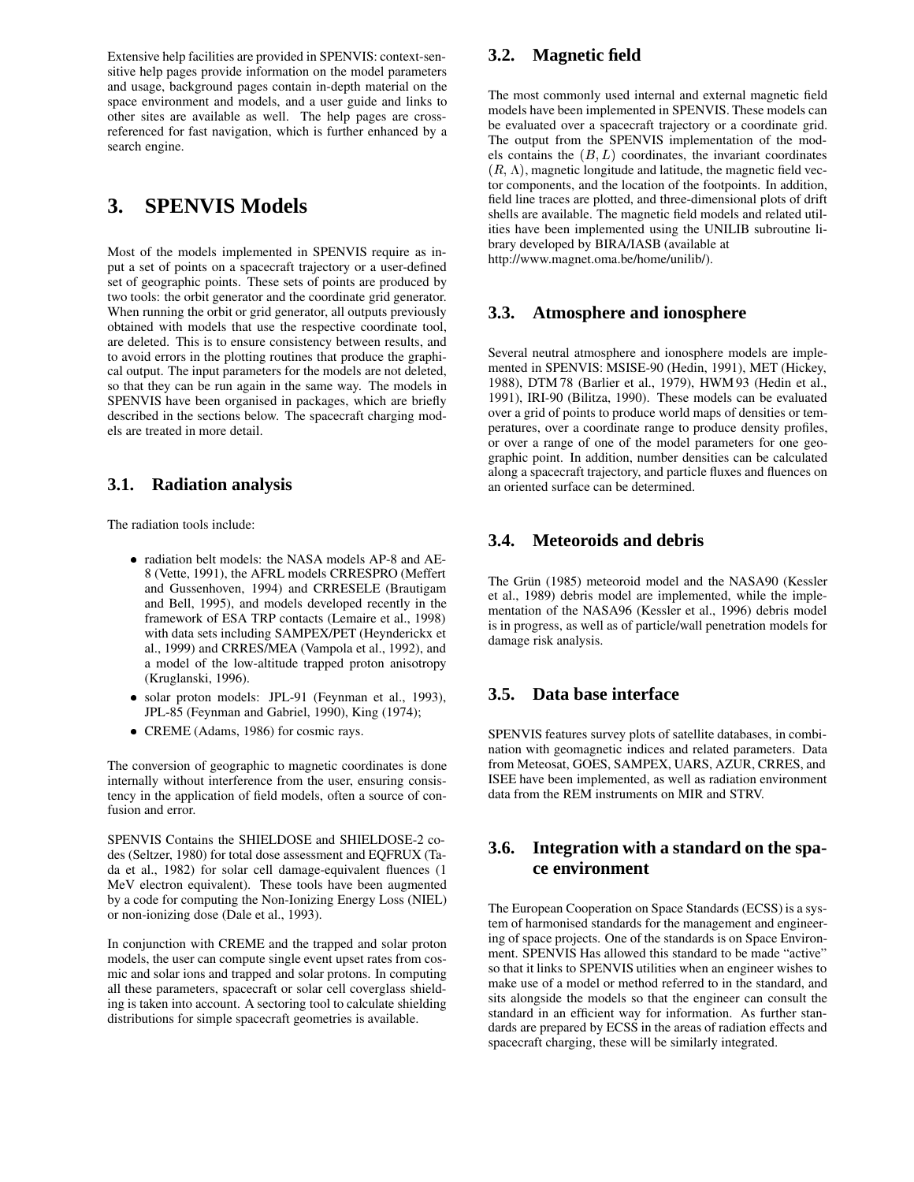Extensive help facilities are provided in SPENVIS: context-sensitive help pages provide information on the model parameters and usage, background pages contain in-depth material on the space environment and models, and a user guide and links to other sites are available as well. The help pages are crossreferenced for fast navigation, which is further enhanced by a search engine.

# **3. SPENVIS Models**

Most of the models implemented in SPENVIS require as input a set of points on a spacecraft trajectory or a user-defined set of geographic points. These sets of points are produced by two tools: the orbit generator and the coordinate grid generator. When running the orbit or grid generator, all outputs previously obtained with models that use the respective coordinate tool, are deleted. This is to ensure consistency between results, and to avoid errors in the plotting routines that produce the graphical output. The input parameters for the models are not deleted, so that they can be run again in the same way. The models in SPENVIS have been organised in packages, which are briefly described in the sections below. The spacecraft charging models are treated in more detail.

## **3.1. Radiation analysis**

The radiation tools include:

- radiation belt models: the NASA models AP-8 and AE-8 (Vette, 1991), the AFRL models CRRESPRO (Meffert and Gussenhoven, 1994) and CRRESELE (Brautigam and Bell, 1995), and models developed recently in the framework of ESA TRP contacts (Lemaire et al., 1998) with data sets including SAMPEX/PET (Heynderickx et al., 1999) and CRRES/MEA (Vampola et al., 1992), and a model of the low-altitude trapped proton anisotropy (Kruglanski, 1996).
- solar proton models: JPL-91 (Feynman et al., 1993), JPL-85 (Feynman and Gabriel, 1990), King (1974);
- CREME (Adams, 1986) for cosmic rays.

The conversion of geographic to magnetic coordinates is done internally without interference from the user, ensuring consistency in the application of field models, often a source of confusion and error.

SPENVIS Contains the SHIELDOSE and SHIELDOSE-2 codes (Seltzer, 1980) for total dose assessment and EQFRUX (Tada et al., 1982) for solar cell damage-equivalent fluences (1 MeV electron equivalent). These tools have been augmented by a code for computing the Non-Ionizing Energy Loss (NIEL) or non-ionizing dose (Dale et al., 1993).

In conjunction with CREME and the trapped and solar proton models, the user can compute single event upset rates from cosmic and solar ions and trapped and solar protons. In computing all these parameters, spacecraft or solar cell coverglass shielding is taken into account. A sectoring tool to calculate shielding distributions for simple spacecraft geometries is available.

### **3.2. Magnetic field**

The most commonly used internal and external magnetic field models have been implemented in SPENVIS. These models can be evaluated over a spacecraft trajectory or a coordinate grid. The output from the SPENVIS implementation of the models contains the  $(B, L)$  coordinates, the invariant coordinates  $(R, \Lambda)$ , magnetic longitude and latitude, the magnetic field vector components, and the location of the footpoints. In addition, field line traces are plotted, and three-dimensional plots of drift shells are available. The magnetic field models and related utilities have been implemented using the UNILIB subroutine library developed by BIRA/IASB (available at http://www.magnet.oma.be/home/unilib/).

#### **3.3. Atmosphere and ionosphere**

Several neutral atmosphere and ionosphere models are implemented in SPENVIS: MSISE-90 (Hedin, 1991), MET (Hickey, 1988), DTM 78 (Barlier et al., 1979), HWM 93 (Hedin et al., 1991), IRI-90 (Bilitza, 1990). These models can be evaluated over a grid of points to produce world maps of densities or temperatures, over a coordinate range to produce density profiles, or over a range of one of the model parameters for one geographic point. In addition, number densities can be calculated along a spacecraft trajectory, and particle fluxes and fluences on an oriented surface can be determined.

### **3.4. Meteoroids and debris**

The Grün (1985) meteoroid model and the NASA90 (Kessler et al., 1989) debris model are implemented, while the implementation of the NASA96 (Kessler et al., 1996) debris model is in progress, as well as of particle/wall penetration models for damage risk analysis.

#### **3.5. Data base interface**

SPENVIS features survey plots of satellite databases, in combination with geomagnetic indices and related parameters. Data from Meteosat, GOES, SAMPEX, UARS, AZUR, CRRES, and ISEE have been implemented, as well as radiation environment data from the REM instruments on MIR and STRV.

### **3.6. Integration with a standard on the space environment**

The European Cooperation on Space Standards (ECSS) is a system of harmonised standards for the management and engineering of space projects. One of the standards is on Space Environment. SPENVIS Has allowed this standard to be made "active" so that it links to SPENVIS utilities when an engineer wishes to make use of a model or method referred to in the standard, and sits alongside the models so that the engineer can consult the standard in an efficient way for information. As further standards are prepared by ECSS in the areas of radiation effects and spacecraft charging, these will be similarly integrated.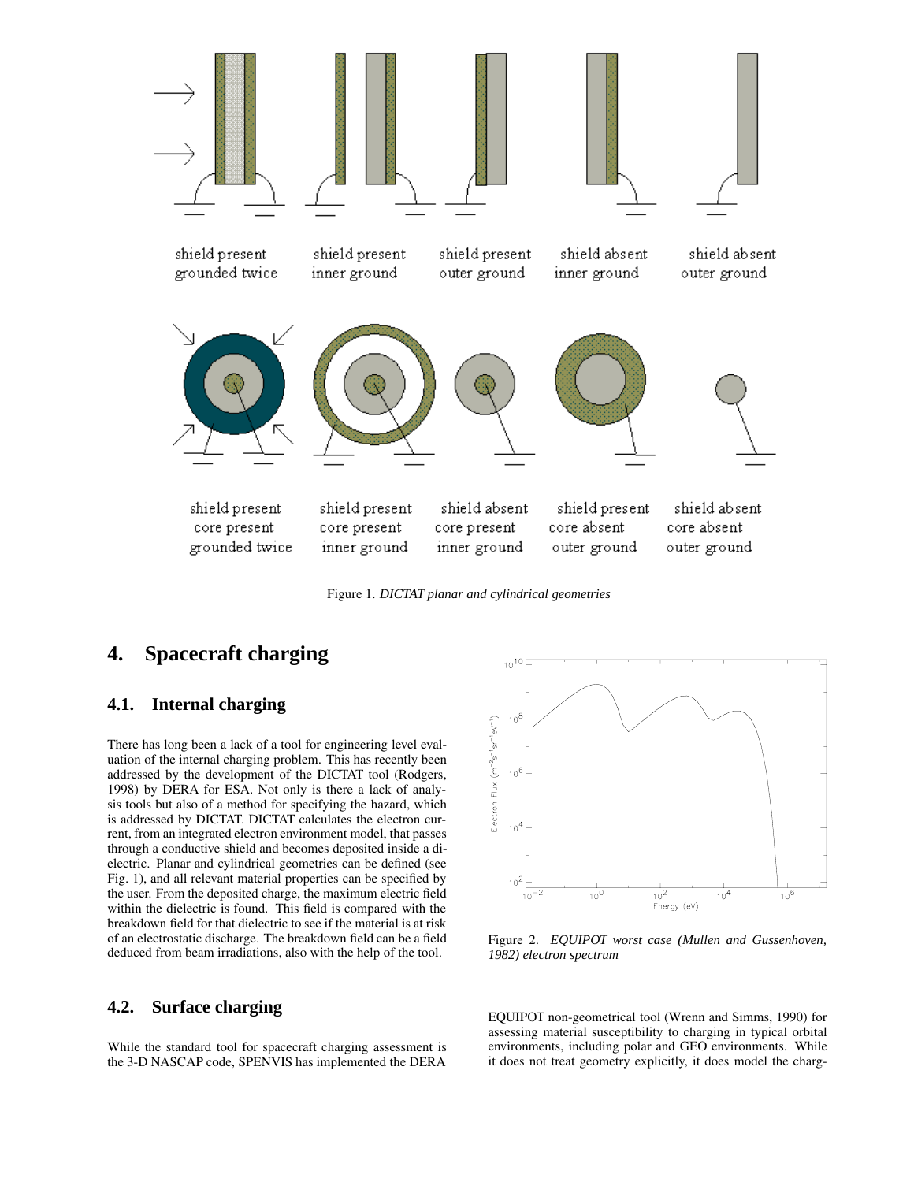

Figure 1. *DICTAT planar and cylindrical geometries*

# **4. Spacecraft charging**

#### **4.1. Internal charging**

There has long been a lack of a tool for engineering level evaluation of the internal charging problem. This has recently been addressed by the development of the DICTAT tool (Rodgers, 1998) by DERA for ESA. Not only is there a lack of analysis tools but also of a method for specifying the hazard, which is addressed by DICTAT. DICTAT calculates the electron current, from an integrated electron environment model, that passes through a conductive shield and becomes deposited inside a dielectric. Planar and cylindrical geometries can be defined (see Fig. 1), and all relevant material properties can be specified by the user. From the deposited charge, the maximum electric field within the dielectric is found. This field is compared with the breakdown field for that dielectric to see if the material is at risk of an electrostatic discharge. The breakdown field can be a field deduced from beam irradiations, also with the help of the tool.

#### **4.2. Surface charging**

While the standard tool for spacecraft charging assessment is the 3-D NASCAP code, SPENVIS has implemented the DERA



Figure 2. *EQUIPOT worst case (Mullen and Gussenhoven, 1982) electron spectrum*

EQUIPOT non-geometrical tool (Wrenn and Simms, 1990) for assessing material susceptibility to charging in typical orbital environments, including polar and GEO environments. While it does not treat geometry explicitly, it does model the charg-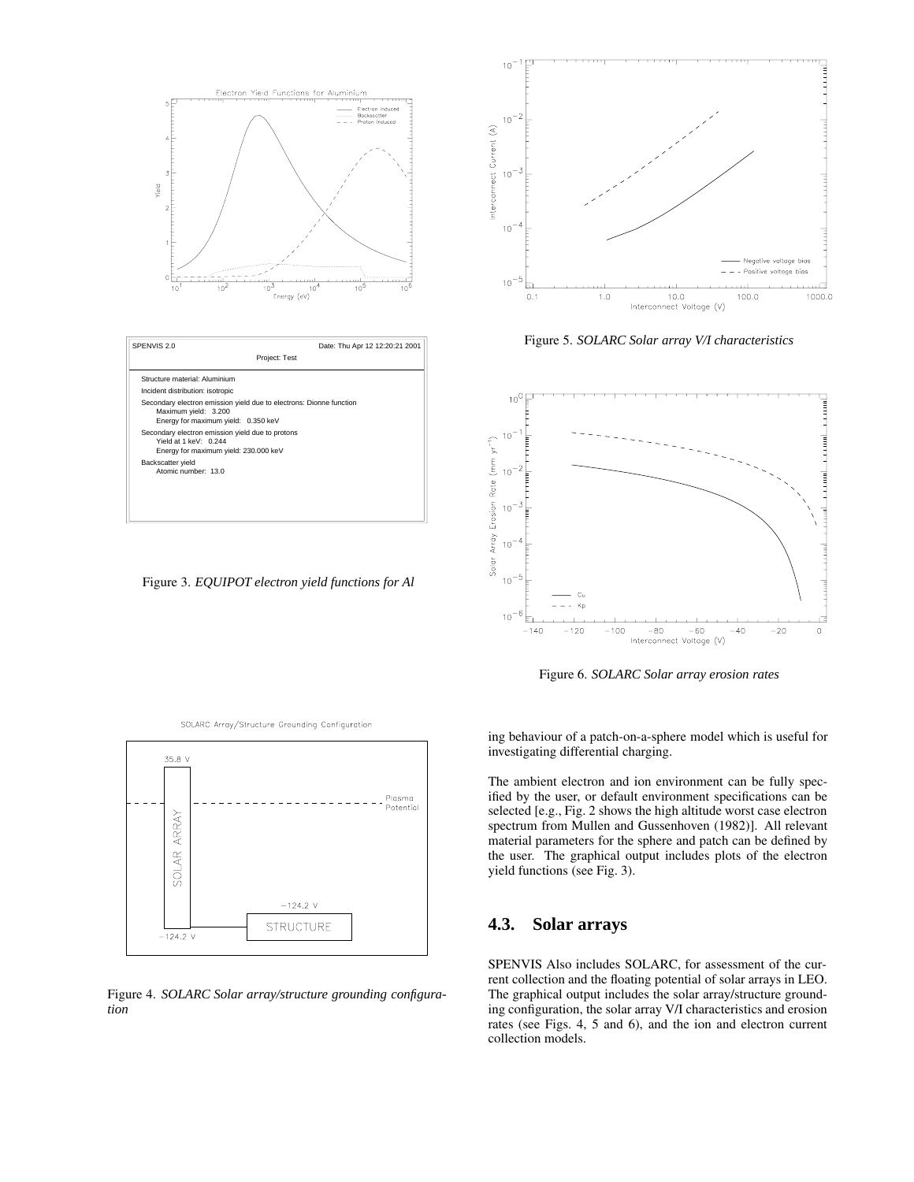

Figure 3. *EQUIPOT electron yield functions for Al*



Figure 5. *SOLARC Solar array V/I characteristics*



Figure 6. *SOLARC Solar array erosion rates*



Figure 4. *SOLARC Solar array/structure grounding configuration*

ing behaviour of a patch-on-a-sphere model which is useful for investigating differential charging.

The ambient electron and ion environment can be fully specified by the user, or default environment specifications can be selected [e.g., Fig. 2 shows the high altitude worst case electron spectrum from Mullen and Gussenhoven (1982)]. All relevant material parameters for the sphere and patch can be defined by the user. The graphical output includes plots of the electron yield functions (see Fig. 3).

#### **4.3. Solar arrays**

SPENVIS Also includes SOLARC, for assessment of the current collection and the floating potential of solar arrays in LEO. The graphical output includes the solar array/structure grounding configuration, the solar array V/I characteristics and erosion rates (see Figs. 4, 5 and 6), and the ion and electron current collection models.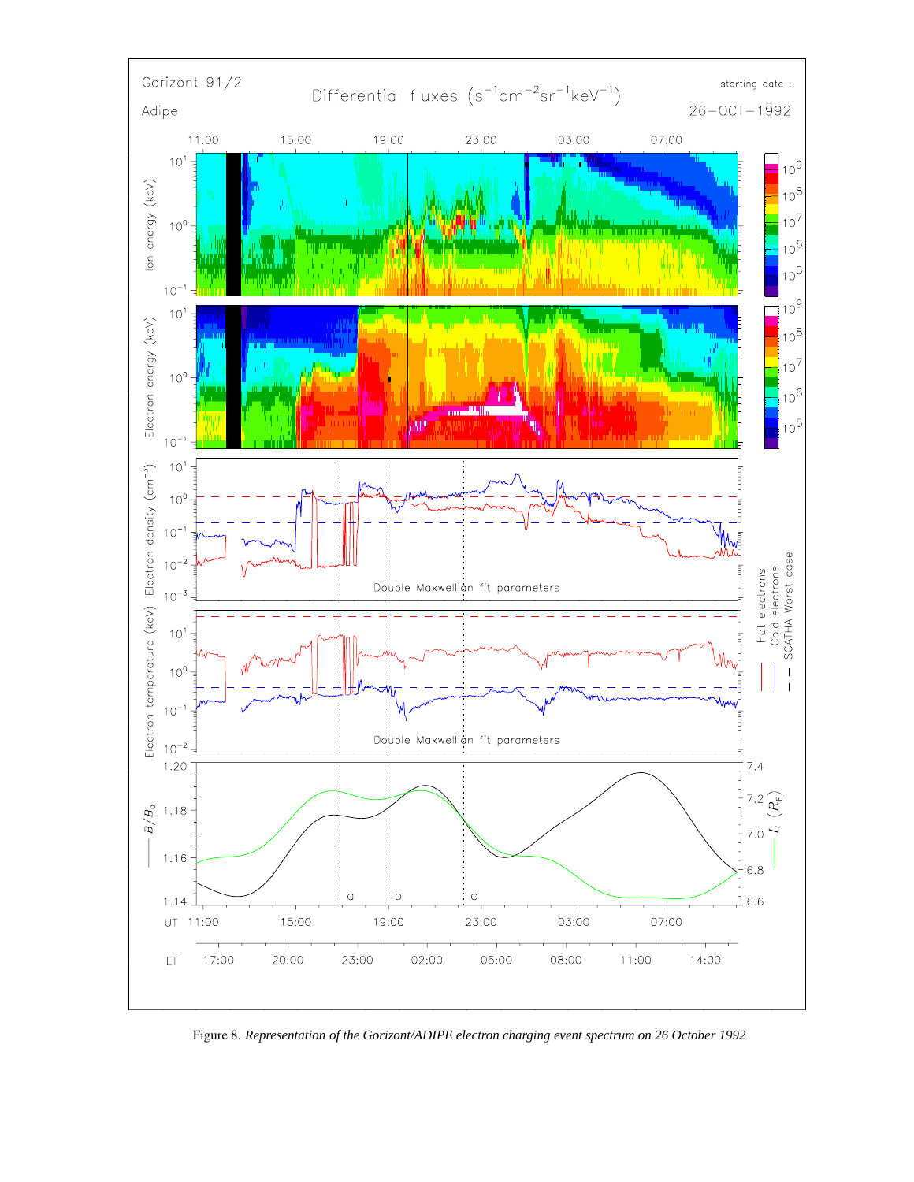

Figure 8. *Representation of the Gorizont/ADIPE electron charging event spectrum on 26 October 1992*